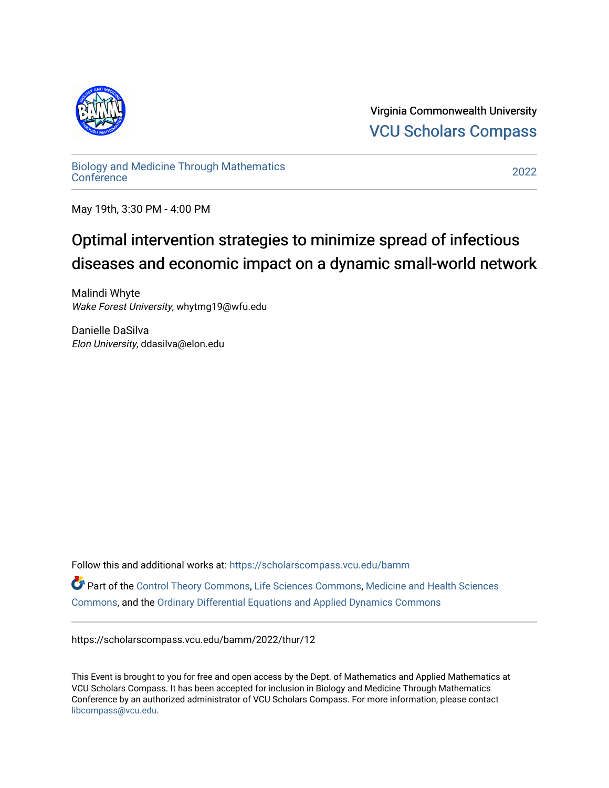

Virginia Commonwealth University [VCU Scholars Compass](https://scholarscompass.vcu.edu/) 

[Biology and Medicine Through Mathematics](https://scholarscompass.vcu.edu/bamm)  [Conference](https://scholarscompass.vcu.edu/bamm) [2022](https://scholarscompass.vcu.edu/bamm/2022) 

May 19th, 3:30 PM - 4:00 PM

## Optimal intervention strategies to minimize spread of infectious diseases and economic impact on a dynamic small-world network

Malindi Whyte Wake Forest University, whytmg19@wfu.edu

Danielle DaSilva Elon University, ddasilva@elon.edu

Follow this and additional works at: [https://scholarscompass.vcu.edu/bamm](https://scholarscompass.vcu.edu/bamm?utm_source=scholarscompass.vcu.edu%2Fbamm%2F2022%2Fthur%2F12&utm_medium=PDF&utm_campaign=PDFCoverPages)

Part of the [Control Theory Commons](http://network.bepress.com/hgg/discipline/116?utm_source=scholarscompass.vcu.edu%2Fbamm%2F2022%2Fthur%2F12&utm_medium=PDF&utm_campaign=PDFCoverPages), [Life Sciences Commons](http://network.bepress.com/hgg/discipline/1016?utm_source=scholarscompass.vcu.edu%2Fbamm%2F2022%2Fthur%2F12&utm_medium=PDF&utm_campaign=PDFCoverPages), [Medicine and Health Sciences](http://network.bepress.com/hgg/discipline/648?utm_source=scholarscompass.vcu.edu%2Fbamm%2F2022%2Fthur%2F12&utm_medium=PDF&utm_campaign=PDFCoverPages)  [Commons](http://network.bepress.com/hgg/discipline/648?utm_source=scholarscompass.vcu.edu%2Fbamm%2F2022%2Fthur%2F12&utm_medium=PDF&utm_campaign=PDFCoverPages), and the [Ordinary Differential Equations and Applied Dynamics Commons](http://network.bepress.com/hgg/discipline/121?utm_source=scholarscompass.vcu.edu%2Fbamm%2F2022%2Fthur%2F12&utm_medium=PDF&utm_campaign=PDFCoverPages) 

https://scholarscompass.vcu.edu/bamm/2022/thur/12

This Event is brought to you for free and open access by the Dept. of Mathematics and Applied Mathematics at VCU Scholars Compass. It has been accepted for inclusion in Biology and Medicine Through Mathematics Conference by an authorized administrator of VCU Scholars Compass. For more information, please contact [libcompass@vcu.edu.](mailto:libcompass@vcu.edu)